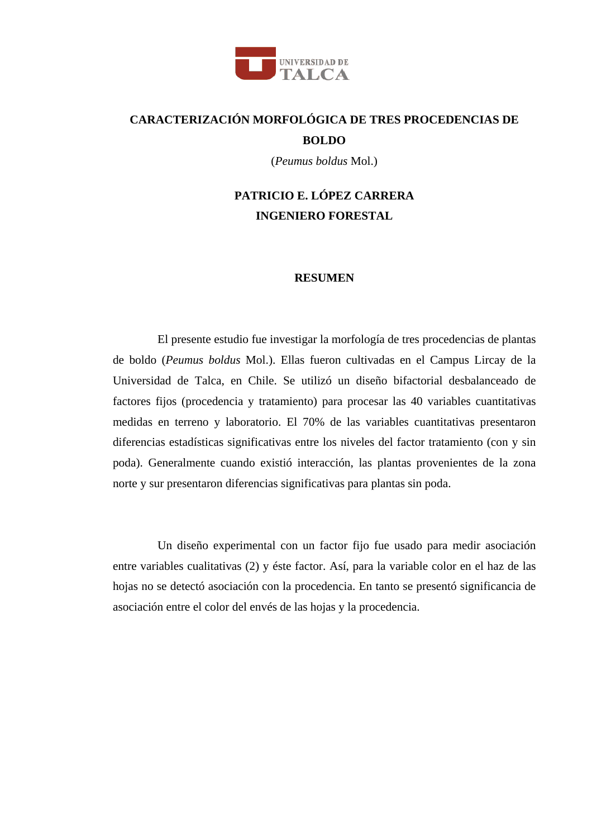

## **CARACTERIZACIÓN MORFOLÓGICA DE TRES PROCEDENCIAS DE BOLDO**

(*Peumus boldus* Mol.)

## **PATRICIO E. LÓPEZ CARRERA INGENIERO FORESTAL**

## **RESUMEN**

El presente estudio fue investigar la morfología de tres procedencias de plantas de boldo (*Peumus boldus* Mol.). Ellas fueron cultivadas en el Campus Lircay de la Universidad de Talca, en Chile. Se utilizó un diseño bifactorial desbalanceado de factores fijos (procedencia y tratamiento) para procesar las 40 variables cuantitativas medidas en terreno y laboratorio. El 70% de las variables cuantitativas presentaron diferencias estadísticas significativas entre los niveles del factor tratamiento (con y sin poda). Generalmente cuando existió interacción, las plantas provenientes de la zona norte y sur presentaron diferencias significativas para plantas sin poda.

Un diseño experimental con un factor fijo fue usado para medir asociación entre variables cualitativas (2) y éste factor. Así, para la variable color en el haz de las hojas no se detectó asociación con la procedencia. En tanto se presentó significancia de asociación entre el color del envés de las hojas y la procedencia.